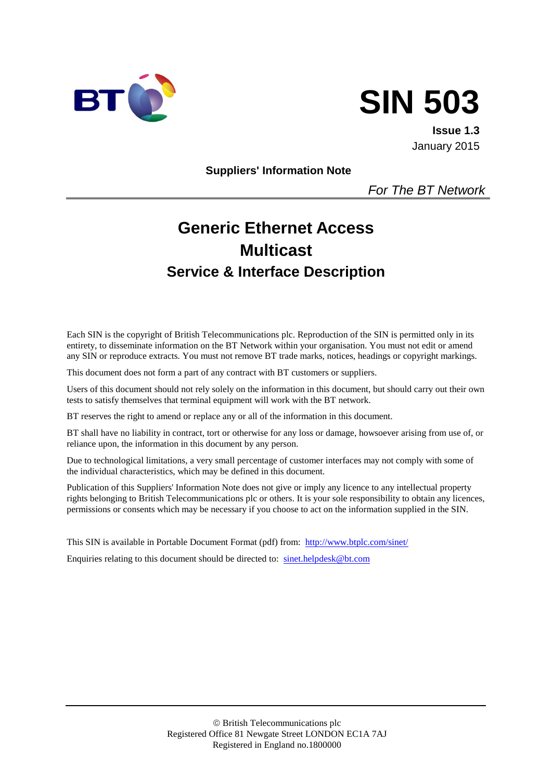



**Issue 1.3** January 2015

**Suppliers' Information Note**

*For The BT Network*

# **Generic Ethernet Access Multicast Service & Interface Description**

Each SIN is the copyright of British Telecommunications plc. Reproduction of the SIN is permitted only in its entirety, to disseminate information on the BT Network within your organisation. You must not edit or amend any SIN or reproduce extracts. You must not remove BT trade marks, notices, headings or copyright markings.

This document does not form a part of any contract with BT customers or suppliers.

Users of this document should not rely solely on the information in this document, but should carry out their own tests to satisfy themselves that terminal equipment will work with the BT network.

BT reserves the right to amend or replace any or all of the information in this document.

BT shall have no liability in contract, tort or otherwise for any loss or damage, howsoever arising from use of, or reliance upon, the information in this document by any person.

Due to technological limitations, a very small percentage of customer interfaces may not comply with some of the individual characteristics, which may be defined in this document.

Publication of this Suppliers' Information Note does not give or imply any licence to any intellectual property rights belonging to British Telecommunications plc or others. It is your sole responsibility to obtain any licences, permissions or consents which may be necessary if you choose to act on the information supplied in the SIN.

This SIN is available in Portable Document Format (pdf) from: <http://www.btplc.com/sinet/>

Enquiries relating to this document should be directed to: [sinet.helpdesk@bt.com](mailto:sinet.helpdesk@bt.com)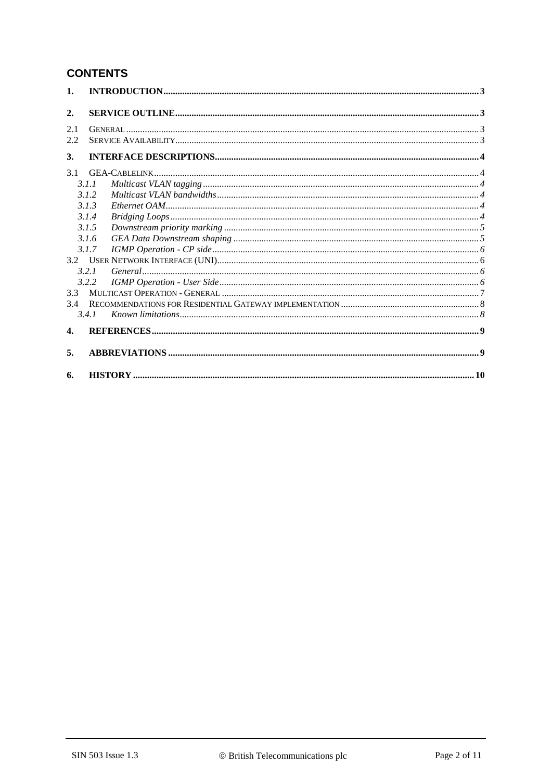# **CONTENTS**

| $\mathbf{1}$ . |       |  |
|----------------|-------|--|
| 2.             |       |  |
| 2.1            |       |  |
| 2.2            |       |  |
| 3.             |       |  |
| 3.1            |       |  |
|                | 3.1.1 |  |
|                | 3.1.2 |  |
|                | 3.1.3 |  |
|                | 3.1.4 |  |
|                | 3.1.5 |  |
|                | 3.1.6 |  |
|                | 3.1.7 |  |
|                |       |  |
|                | 3.2.1 |  |
|                | 3.2.2 |  |
| 3.3            |       |  |
| 3.4            |       |  |
|                | 3.4.1 |  |
| $\mathbf{4}$ . |       |  |
| 5.             |       |  |
| 6.             |       |  |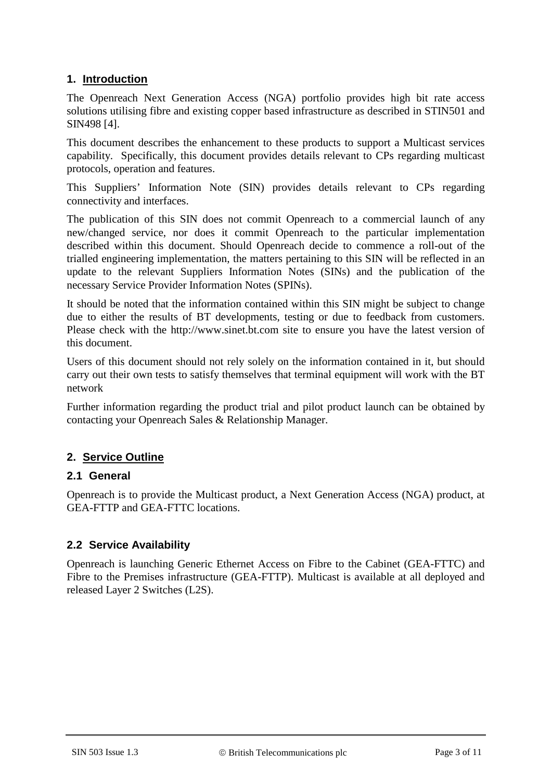# **1. Introduction**

The Openreach Next Generation Access (NGA) portfolio provides high bit rate access solutions utilising fibre and existing copper based infrastructure as described in STIN501 and SIN498 [\[4\].](#page-8-0)

This document describes the enhancement to these products to support a Multicast services capability. Specifically, this document provides details relevant to CPs regarding multicast protocols, operation and features.

This Suppliers' Information Note (SIN) provides details relevant to CPs regarding connectivity and interfaces.

The publication of this SIN does not commit Openreach to a commercial launch of any new/changed service, nor does it commit Openreach to the particular implementation described within this document. Should Openreach decide to commence a roll-out of the trialled engineering implementation, the matters pertaining to this SIN will be reflected in an update to the relevant Suppliers Information Notes (SINs) and the publication of the necessary Service Provider Information Notes (SPINs).

It should be noted that the information contained within this SIN might be subject to change due to either the results of BT developments, testing or due to feedback from customers. Please check with the http://www.sinet.bt.com site to ensure you have the latest version of this document.

Users of this document should not rely solely on the information contained in it, but should carry out their own tests to satisfy themselves that terminal equipment will work with the BT network

Further information regarding the product trial and pilot product launch can be obtained by contacting your Openreach Sales & Relationship Manager.

# **2. Service Outline**

# **2.1 General**

Openreach is to provide the Multicast product, a Next Generation Access (NGA) product, at GEA-FTTP and GEA-FTTC locations.

# **2.2 Service Availability**

Openreach is launching Generic Ethernet Access on Fibre to the Cabinet (GEA-FTTC) and Fibre to the Premises infrastructure (GEA-FTTP). Multicast is available at all deployed and released Layer 2 Switches (L2S).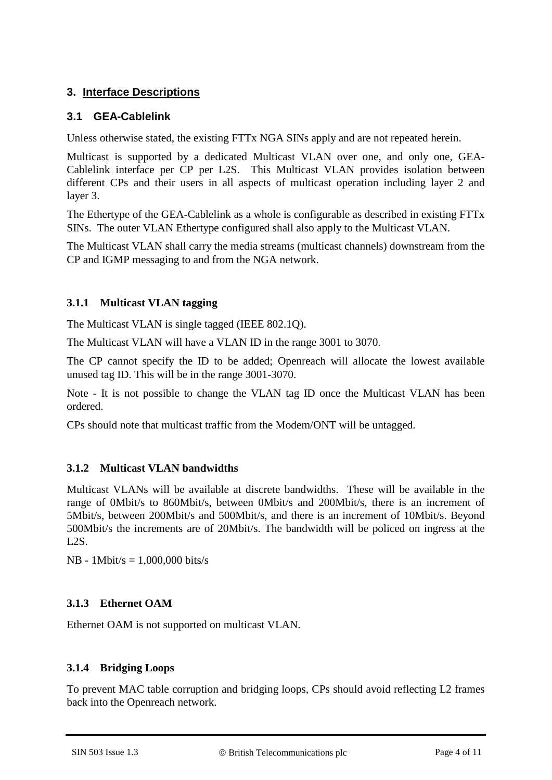# **3. Interface Descriptions**

# **3.1 GEA-Cablelink**

Unless otherwise stated, the existing FTTx NGA SINs apply and are not repeated herein.

Multicast is supported by a dedicated Multicast VLAN over one, and only one, GEA-Cablelink interface per CP per L2S. This Multicast VLAN provides isolation between different CPs and their users in all aspects of multicast operation including layer 2 and layer 3.

The Ethertype of the GEA-Cablelink as a whole is configurable as described in existing FTTx SINs. The outer VLAN Ethertype configured shall also apply to the Multicast VLAN.

The Multicast VLAN shall carry the media streams (multicast channels) downstream from the CP and IGMP messaging to and from the NGA network.

# **3.1.1 Multicast VLAN tagging**

The Multicast VLAN is single tagged (IEEE 802.1Q).

The Multicast VLAN will have a VLAN ID in the range 3001 to 3070.

The CP cannot specify the ID to be added; Openreach will allocate the lowest available unused tag ID. This will be in the range 3001-3070.

Note - It is not possible to change the VLAN tag ID once the Multicast VLAN has been ordered.

CPs should note that multicast traffic from the Modem/ONT will be untagged.

# **3.1.2 Multicast VLAN bandwidths**

Multicast VLANs will be available at discrete bandwidths. These will be available in the range of 0Mbit/s to 860Mbit/s, between 0Mbit/s and 200Mbit/s, there is an increment of 5Mbit/s, between 200Mbit/s and 500Mbit/s, and there is an increment of 10Mbit/s. Beyond 500Mbit/s the increments are of 20Mbit/s. The bandwidth will be policed on ingress at the  $L2S$ .

NB - 1Mbit/s = 1,000,000 bits/s

# **3.1.3 Ethernet OAM**

Ethernet OAM is not supported on multicast VLAN.

#### **3.1.4 Bridging Loops**

To prevent MAC table corruption and bridging loops, CPs should avoid reflecting L2 frames back into the Openreach network.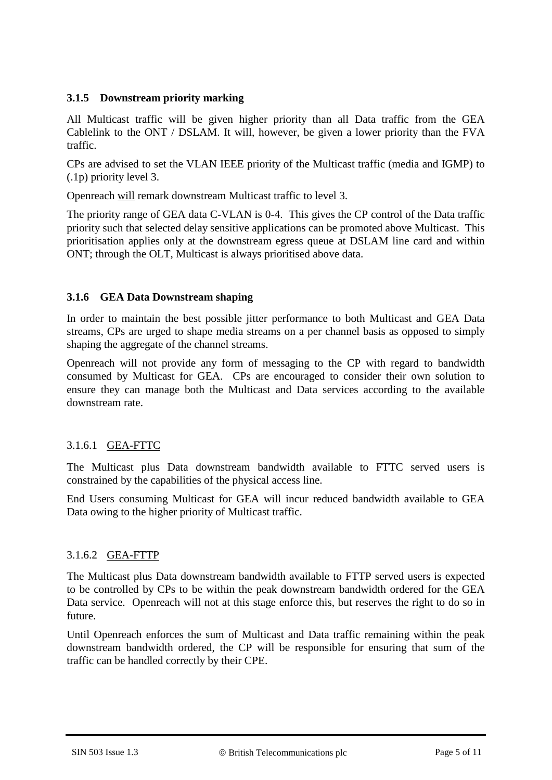#### **3.1.5 Downstream priority marking**

All Multicast traffic will be given higher priority than all Data traffic from the GEA Cablelink to the ONT / DSLAM. It will, however, be given a lower priority than the FVA traffic.

CPs are advised to set the VLAN IEEE priority of the Multicast traffic (media and IGMP) to (.1p) priority level 3.

Openreach will remark downstream Multicast traffic to level 3.

The priority range of GEA data C-VLAN is 0-4. This gives the CP control of the Data traffic priority such that selected delay sensitive applications can be promoted above Multicast. This prioritisation applies only at the downstream egress queue at DSLAM line card and within ONT; through the OLT, Multicast is always prioritised above data.

#### **3.1.6 GEA Data Downstream shaping**

In order to maintain the best possible jitter performance to both Multicast and GEA Data streams, CPs are urged to shape media streams on a per channel basis as opposed to simply shaping the aggregate of the channel streams.

Openreach will not provide any form of messaging to the CP with regard to bandwidth consumed by Multicast for GEA. CPs are encouraged to consider their own solution to ensure they can manage both the Multicast and Data services according to the available downstream rate.

# 3.1.6.1 GEA-FTTC

The Multicast plus Data downstream bandwidth available to FTTC served users is constrained by the capabilities of the physical access line.

End Users consuming Multicast for GEA will incur reduced bandwidth available to GEA Data owing to the higher priority of Multicast traffic.

# 3.1.6.2 GEA-FTTP

The Multicast plus Data downstream bandwidth available to FTTP served users is expected to be controlled by CPs to be within the peak downstream bandwidth ordered for the GEA Data service. Openreach will not at this stage enforce this, but reserves the right to do so in future.

Until Openreach enforces the sum of Multicast and Data traffic remaining within the peak downstream bandwidth ordered, the CP will be responsible for ensuring that sum of the traffic can be handled correctly by their CPE.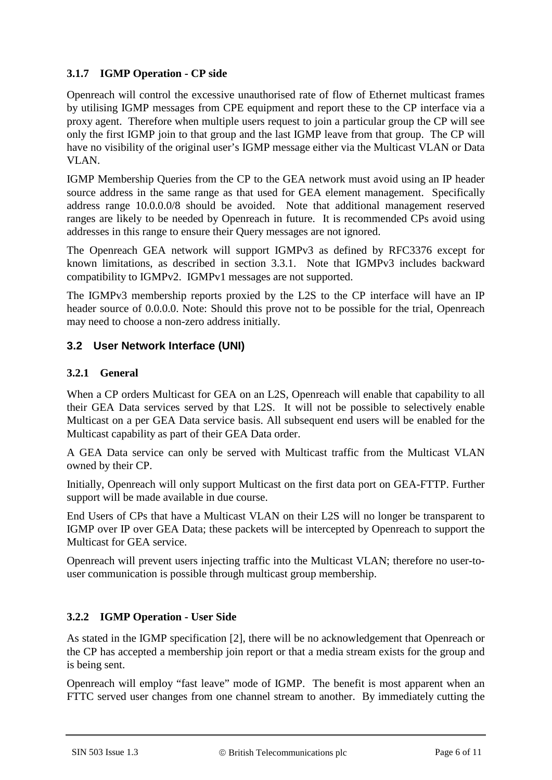# **3.1.7 IGMP Operation - CP side**

Openreach will control the excessive unauthorised rate of flow of Ethernet multicast frames by utilising IGMP messages from CPE equipment and report these to the CP interface via a proxy agent. Therefore when multiple users request to join a particular group the CP will see only the first IGMP join to that group and the last IGMP leave from that group. The CP will have no visibility of the original user's IGMP message either via the Multicast VLAN or Data VLAN.

IGMP Membership Queries from the CP to the GEA network must avoid using an IP header source address in the same range as that used for GEA element management. Specifically address range 10.0.0.0/8 should be avoided. Note that additional management reserved ranges are likely to be needed by Openreach in future. It is recommended CPs avoid using addresses in this range to ensure their Query messages are not ignored.

The Openreach GEA network will support IGMPv3 as defined by RFC3376 except for known limitations, as described in section [3.3.1.](#page-7-0) Note that IGMPv3 includes backward compatibility to IGMPv2. IGMPv1 messages are not supported.

The IGMPv3 membership reports proxied by the L2S to the CP interface will have an IP header source of 0.0.0.0. Note: Should this prove not to be possible for the trial, Openreach may need to choose a non-zero address initially.

# **3.2 User Network Interface (UNI)**

# **3.2.1 General**

When a CP orders Multicast for GEA on an L2S, Openreach will enable that capability to all their GEA Data services served by that L2S. It will not be possible to selectively enable Multicast on a per GEA Data service basis. All subsequent end users will be enabled for the Multicast capability as part of their GEA Data order.

A GEA Data service can only be served with Multicast traffic from the Multicast VLAN owned by their CP.

Initially, Openreach will only support Multicast on the first data port on GEA-FTTP. Further support will be made available in due course.

End Users of CPs that have a Multicast VLAN on their L2S will no longer be transparent to IGMP over IP over GEA Data; these packets will be intercepted by Openreach to support the Multicast for GEA service.

Openreach will prevent users injecting traffic into the Multicast VLAN; therefore no user-touser communication is possible through multicast group membership.

# **3.2.2 IGMP Operation - User Side**

As stated in the IGMP specification [2], there will be no acknowledgement that Openreach or the CP has accepted a membership join report or that a media stream exists for the group and is being sent.

Openreach will employ "fast leave" mode of IGMP. The benefit is most apparent when an FTTC served user changes from one channel stream to another. By immediately cutting the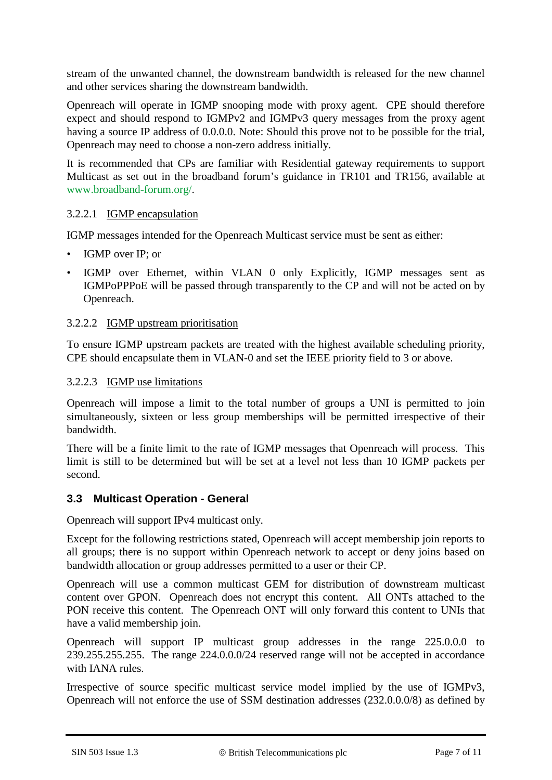stream of the unwanted channel, the downstream bandwidth is released for the new channel and other services sharing the downstream bandwidth.

Openreach will operate in IGMP snooping mode with proxy agent. CPE should therefore expect and should respond to IGMPv2 and IGMPv3 query messages from the proxy agent having a source IP address of 0.0.0.0. Note: Should this prove not to be possible for the trial, Openreach may need to choose a non-zero address initially.

It is recommended that CPs are familiar with Residential gateway requirements to support Multicast as set out in the broadband forum's guidance in TR101 and TR156, available at www.broadband-forum.org/.

#### 3.2.2.1 IGMP encapsulation

IGMP messages intended for the Openreach Multicast service must be sent as either:

- IGMP over IP; or
- IGMP over Ethernet, within VLAN 0 only Explicitly, IGMP messages sent as IGMPoPPPoE will be passed through transparently to the CP and will not be acted on by Openreach.

#### 3.2.2.2 IGMP upstream prioritisation

To ensure IGMP upstream packets are treated with the highest available scheduling priority, CPE should encapsulate them in VLAN-0 and set the IEEE priority field to 3 or above.

#### 3.2.2.3 IGMP use limitations

Openreach will impose a limit to the total number of groups a UNI is permitted to join simultaneously, sixteen or less group memberships will be permitted irrespective of their bandwidth.

There will be a finite limit to the rate of IGMP messages that Openreach will process. This limit is still to be determined but will be set at a level not less than 10 IGMP packets per second.

#### **3.3 Multicast Operation - General**

Openreach will support IPv4 multicast only.

Except for the following restrictions stated, Openreach will accept membership join reports to all groups; there is no support within Openreach network to accept or deny joins based on bandwidth allocation or group addresses permitted to a user or their CP.

Openreach will use a common multicast GEM for distribution of downstream multicast content over GPON. Openreach does not encrypt this content. All ONTs attached to the PON receive this content. The Openreach ONT will only forward this content to UNIs that have a valid membership join.

Openreach will support IP multicast group addresses in the range 225.0.0.0 to 239.255.255.255. The range 224.0.0.0/24 reserved range will not be accepted in accordance with IANA rules.

Irrespective of source specific multicast service model implied by the use of IGMPv3, Openreach will not enforce the use of SSM destination addresses (232.0.0.0/8) as defined by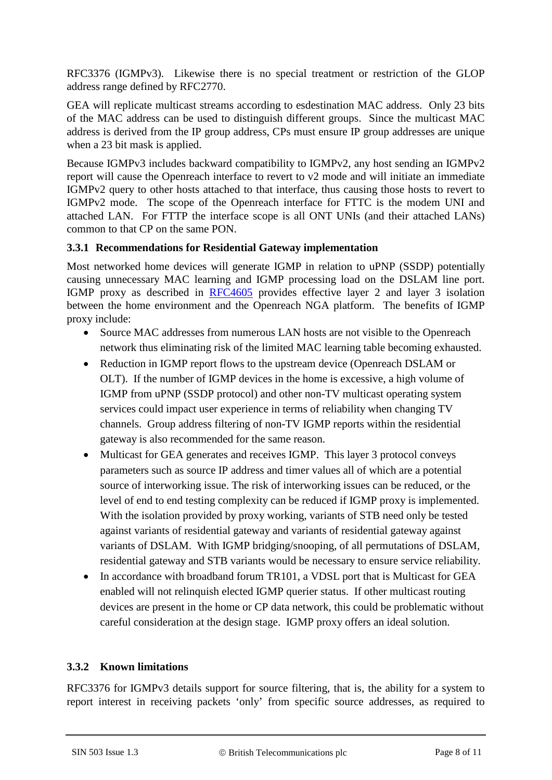RFC3376 (IGMPv3). Likewise there is no special treatment or restriction of the GLOP address range defined by RFC2770.

GEA will replicate multicast streams according to esdestination MAC address. Only 23 bits of the MAC address can be used to distinguish different groups. Since the multicast MAC address is derived from the IP group address, CPs must ensure IP group addresses are unique when a 23 bit mask is applied.

Because IGMPv3 includes backward compatibility to IGMPv2, any host sending an IGMPv2 report will cause the Openreach interface to revert to v2 mode and will initiate an immediate IGMPv2 query to other hosts attached to that interface, thus causing those hosts to revert to IGMPv2 mode. The scope of the Openreach interface for FTTC is the modem UNI and attached LAN. For FTTP the interface scope is all ONT UNIs (and their attached LANs) common to that CP on the same PON.

#### **3.3.1 Recommendations for Residential Gateway implementation**

Most networked home devices will generate IGMP in relation to uPNP (SSDP) potentially causing unnecessary MAC learning and IGMP processing load on the DSLAM line port. IGMP proxy as described in [RFC4605](http://tools.ietf.org/html/rfc4605) provides effective layer 2 and layer 3 isolation between the home environment and the Openreach NGA platform. The benefits of IGMP proxy include:

- Source MAC addresses from numerous LAN hosts are not visible to the Openreach network thus eliminating risk of the limited MAC learning table becoming exhausted.
- Reduction in IGMP report flows to the upstream device (Openreach DSLAM or OLT). If the number of IGMP devices in the home is excessive, a high volume of IGMP from uPNP (SSDP protocol) and other non-TV multicast operating system services could impact user experience in terms of reliability when changing TV channels. Group address filtering of non-TV IGMP reports within the residential gateway is also recommended for the same reason.
- Multicast for GEA generates and receives IGMP. This layer 3 protocol conveys parameters such as source IP address and timer values all of which are a potential source of interworking issue. The risk of interworking issues can be reduced, or the level of end to end testing complexity can be reduced if IGMP proxy is implemented. With the isolation provided by proxy working, variants of STB need only be tested against variants of residential gateway and variants of residential gateway against variants of DSLAM. With IGMP bridging/snooping, of all permutations of DSLAM, residential gateway and STB variants would be necessary to ensure service reliability.
- In accordance with broadband forum TR101, a VDSL port that is Multicast for GEA enabled will not relinquish elected IGMP querier status. If other multicast routing devices are present in the home or CP data network, this could be problematic without careful consideration at the design stage. IGMP proxy offers an ideal solution.

# <span id="page-7-0"></span>**3.3.2 Known limitations**

RFC3376 for IGMPv3 details support for source filtering, that is, the ability for a system to report interest in receiving packets 'only' from specific source addresses, as required to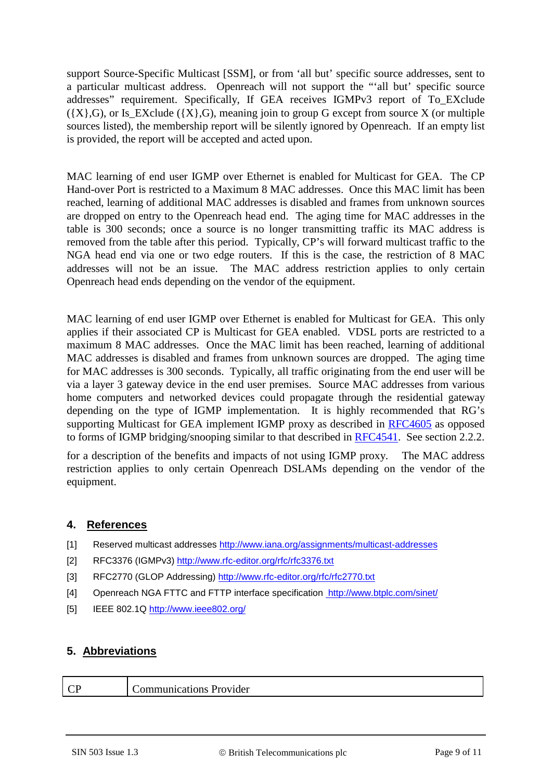support Source-Specific Multicast [SSM], or from 'all but' specific source addresses, sent to a particular multicast address. Openreach will not support the "'all but' specific source addresses" requirement. Specifically, If GEA receives IGMPv3 report of To\_EXclude  $({X}, G)$ , or Is\_EXclude  $({X}, G)$ , meaning join to group G except from source X (or multiple sources listed), the membership report will be silently ignored by Openreach. If an empty list is provided, the report will be accepted and acted upon.

MAC learning of end user IGMP over Ethernet is enabled for Multicast for GEA. The CP Hand-over Port is restricted to a Maximum 8 MAC addresses. Once this MAC limit has been reached, learning of additional MAC addresses is disabled and frames from unknown sources are dropped on entry to the Openreach head end. The aging time for MAC addresses in the table is 300 seconds; once a source is no longer transmitting traffic its MAC address is removed from the table after this period. Typically, CP's will forward multicast traffic to the NGA head end via one or two edge routers. If this is the case, the restriction of 8 MAC addresses will not be an issue. The MAC address restriction applies to only certain Openreach head ends depending on the vendor of the equipment.

MAC learning of end user IGMP over Ethernet is enabled for Multicast for GEA. This only applies if their associated CP is Multicast for GEA enabled. VDSL ports are restricted to a maximum 8 MAC addresses. Once the MAC limit has been reached, learning of additional MAC addresses is disabled and frames from unknown sources are dropped. The aging time for MAC addresses is 300 seconds. Typically, all traffic originating from the end user will be via a layer 3 gateway device in the end user premises. Source MAC addresses from various home computers and networked devices could propagate through the residential gateway depending on the type of IGMP implementation. It is highly recommended that RG's supporting Multicast for GEA implement IGMP proxy as described in [RFC4605](http://tools.ietf.org/html/rfc4605) as opposed to forms of IGMP bridging/snooping similar to that described in [RFC4541.](http://tools.ietf.org/html/rfc4541) See section 2.2.2.

for a description of the benefits and impacts of not using IGMP proxy. The MAC address restriction applies to only certain Openreach DSLAMs depending on the vendor of the equipment.

#### **4. References**

- [1] Reserved multicast addresses<http://www.iana.org/assignments/multicast-addresses>
- [2] RFC3376 (IGMPv3)<http://www.rfc-editor.org/rfc/rfc3376.txt>
- [3] RFC2770 (GLOP Addressing)<http://www.rfc-editor.org/rfc/rfc2770.txt>
- <span id="page-8-0"></span>[4] Openreach NGA FTTC and FTTP interface specification http://www.btplc.com/sinet/
- [5] IEEE 802.1Q<http://www.ieee802.org/>

# **5. Abbreviations**

CP Communications Provider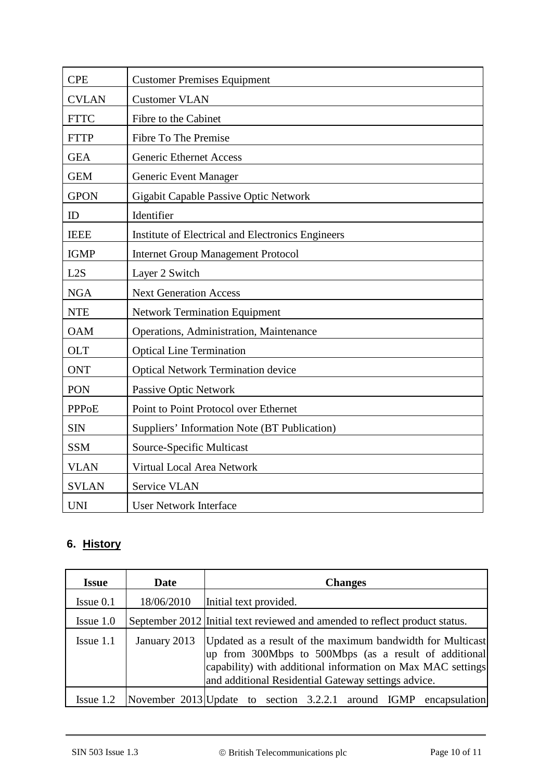| <b>CPE</b>   | <b>Customer Premises Equipment</b>                |
|--------------|---------------------------------------------------|
| <b>CVLAN</b> | <b>Customer VLAN</b>                              |
| <b>FTTC</b>  | Fibre to the Cabinet                              |
| <b>FTTP</b>  | <b>Fibre To The Premise</b>                       |
| <b>GEA</b>   | <b>Generic Ethernet Access</b>                    |
| <b>GEM</b>   | Generic Event Manager                             |
| <b>GPON</b>  | Gigabit Capable Passive Optic Network             |
| ID           | Identifier                                        |
| <b>IEEE</b>  | Institute of Electrical and Electronics Engineers |
| <b>IGMP</b>  | <b>Internet Group Management Protocol</b>         |
| L2S          | Layer 2 Switch                                    |
| <b>NGA</b>   | <b>Next Generation Access</b>                     |
| <b>NTE</b>   | <b>Network Termination Equipment</b>              |
| <b>OAM</b>   | Operations, Administration, Maintenance           |
| <b>OLT</b>   | <b>Optical Line Termination</b>                   |
| <b>ONT</b>   | <b>Optical Network Termination device</b>         |
| <b>PON</b>   | Passive Optic Network                             |
| <b>PPPoE</b> | Point to Point Protocol over Ethernet             |
| <b>SIN</b>   | Suppliers' Information Note (BT Publication)      |
| <b>SSM</b>   | Source-Specific Multicast                         |
| <b>VLAN</b>  | Virtual Local Area Network                        |
| <b>SVLAN</b> | Service VLAN                                      |
| <b>UNI</b>   | <b>User Network Interface</b>                     |

# **6. History**

| <b>Issue</b>   | Date         | <b>Changes</b>                                                                                                                                                                                                                            |
|----------------|--------------|-------------------------------------------------------------------------------------------------------------------------------------------------------------------------------------------------------------------------------------------|
| $I$ ssue $0.1$ | 18/06/2010   | Initial text provided.                                                                                                                                                                                                                    |
| $I$ ssue $1.0$ |              | September 2012 Initial text reviewed and amended to reflect product status.                                                                                                                                                               |
| $I$ ssue 1.1   | January 2013 | Updated as a result of the maximum bandwidth for Multicast<br>up from 300Mbps to 500Mbps (as a result of additional<br>capability) with additional information on Max MAC settings<br>and additional Residential Gateway settings advice. |
| $I$ ssue 1.2   |              | November 2013 Update to section 3.2.2.1 around IGMP encapsulation                                                                                                                                                                         |